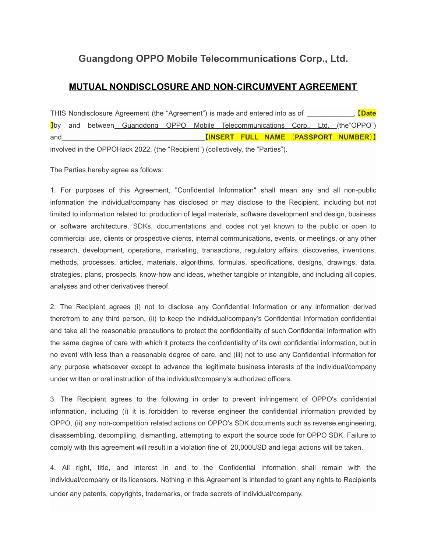# **Guangdong OPPO Mobile Telecommunications Corp., Ltd.**

## **MUTUAL NONDISCLOSURE AND NON-CIRCUMVENT AGREEMENT**

THIS Nondisclosure Agreement (the "Agreement") is made and entered into as of \_\_\_\_\_\_\_\_\_\_\_\_, 【**Date** 】by and between Guangdong OPPO Mobile Telecommunications Corp., Ltd. (the"OPPO") and\_\_\_\_\_\_\_\_\_\_\_\_\_\_\_\_\_\_\_\_\_\_\_\_\_\_\_\_\_\_\_\_\_\_\_\_\_【**INSERT FULL NAME** (**PASSPORT NUMBER**)】 involved in the OPPOHack 2022, (the "Recipient") (collectively, the "Parties").

The Parties hereby agree as follows:

1. For purposes of this Agreement, "Confidential Information" shall mean any and all non-public information the individual/company has disclosed or may disclose to the Recipient, including but not limited to information related to: production of legal materials, software development and design, business or software architecture, SDKs, documentations and codes not yet known to the public or open to commercial use, clients or prospective clients, internal communications, events, or meetings, or any other research, development, operations, marketing, transactions, regulatory affairs, discoveries, inventions, methods, processes, articles, materials, algorithms, formulas, specifications, designs, drawings, data, strategies, plans, prospects, know-how and ideas, whether tangible or intangible, and including all copies, analyses and other derivatives thereof.

2. The Recipient agrees (i) not to disclose any Confidential Information or any information derived therefrom to any third person, (ii) to keep the individual/company's Confidential Information confidential and take all the reasonable precautions to protect the confidentiality of such Confidential Information with the same degree of care with which it protects the confidentiality of its own confidential information, but in no event with less than a reasonable degree of care, and (iii) not to use any Confidential Information for any purpose whatsoever except to advance the legitimate business interests of the individual/company under written or oral instruction of the individual/company's authorized officers.

3. The Recipient agrees to the following in order to prevent infringement of OPPO's confidential information, including (i) it is forbidden to reverse engineer the confidential information provided by OPPO, (ii) any non-competition related actions on OPPO's SDK documents such as reverse engineering, disassembling, decompiling, dismantling, attempting to export the source code for OPPO SDK. Failure to comply with this agreement will result in a violation fine of 20,000USD and legal actions will be taken.

4. All right, title, and interest in and to the Confidential Information shall remain with the individual/company or its licensors. Nothing in this Agreement is intended to grant any rights to Recipients under any patents, copyrights, trademarks, or trade secrets of individual/company.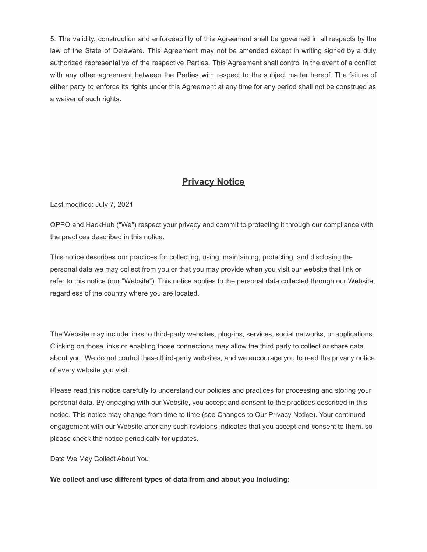5. The validity, construction and enforceability of this Agreement shall be governed in all respects by the law of the State of Delaware. This Agreement may not be amended except in writing signed by a duly authorized representative of the respective Parties. This Agreement shall control in the event of a conflict with any other agreement between the Parties with respect to the subject matter hereof. The failure of either party to enforce its rights under this Agreement at any time for any period shall not be construed as a waiver of such rights.

## **Privacy Notice**

Last modified: July 7, 2021

OPPO and HackHub ("We") respect your privacy and commit to protecting it through our compliance with the practices described in this notice.

This notice describes our practices for collecting, using, maintaining, protecting, and disclosing the personal data we may collect from you or that you may provide when you visit our website that link or refer to this notice (our "Website"). This notice applies to the personal data collected through our Website, regardless of the country where you are located.

The Website may include links to third-party websites, plug-ins, services, social networks, or applications. Clicking on those links or enabling those connections may allow the third party to collect or share data about you. We do not control these third-party websites, and we encourage you to read the privacy notice of every website you visit.

Please read this notice carefully to understand our policies and practices for processing and storing your personal data. By engaging with our Website, you accept and consent to the practices described in this notice. This notice may change from time to time (see Changes to Our Privacy Notice). Your continued engagement with our Website after any such revisions indicates that you accept and consent to them, so please check the notice periodically for updates.

Data We May Collect About You

**We collect and use different types of data from and about you including:**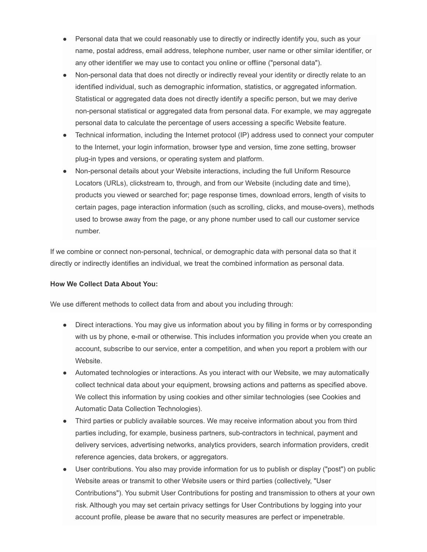- Personal data that we could reasonably use to directly or indirectly identify you, such as your name, postal address, email address, telephone number, user name or other similar identifier, or any other identifier we may use to contact you online or offline ("personal data").
- Non-personal data that does not directly or indirectly reveal your identity or directly relate to an identified individual, such as demographic information, statistics, or aggregated information. Statistical or aggregated data does not directly identify a specific person, but we may derive non-personal statistical or aggregated data from personal data. For example, we may aggregate personal data to calculate the percentage of users accessing a specific Website feature.
- Technical information, including the Internet protocol (IP) address used to connect your computer to the Internet, your login information, browser type and version, time zone setting, browser plug-in types and versions, or operating system and platform.
- Non-personal details about your Website interactions, including the full Uniform Resource Locators (URLs), clickstream to, through, and from our Website (including date and time), products you viewed or searched for; page response times, download errors, length of visits to certain pages, page interaction information (such as scrolling, clicks, and mouse-overs), methods used to browse away from the page, or any phone number used to call our customer service number.

If we combine or connect non-personal, technical, or demographic data with personal data so that it directly or indirectly identifies an individual, we treat the combined information as personal data.

#### **How We Collect Data About You:**

We use different methods to collect data from and about you including through:

- Direct interactions. You may give us information about you by filling in forms or by corresponding with us by phone, e-mail or otherwise. This includes information you provide when you create an account, subscribe to our service, enter a competition, and when you report a problem with our Website.
- Automated technologies or interactions. As you interact with our Website, we may automatically collect technical data about your equipment, browsing actions and patterns as specified above. We collect this information by using cookies and other similar technologies (see Cookies and Automatic Data Collection Technologies).
- Third parties or publicly available sources. We may receive information about you from third parties including, for example, business partners, sub-contractors in technical, payment and delivery services, advertising networks, analytics providers, search information providers, credit reference agencies, data brokers, or aggregators.
- User contributions. You also may provide information for us to publish or display ("post") on public Website areas or transmit to other Website users or third parties (collectively, "User Contributions"). You submit User Contributions for posting and transmission to others at your own risk. Although you may set certain privacy settings for User Contributions by logging into your account profile, please be aware that no security measures are perfect or impenetrable.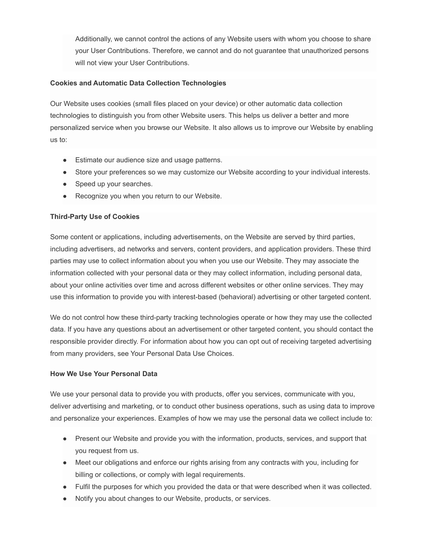Additionally, we cannot control the actions of any Website users with whom you choose to share your User Contributions. Therefore, we cannot and do not guarantee that unauthorized persons will not view your User Contributions.

#### **Cookies and Automatic Data Collection Technologies**

Our Website uses cookies (small files placed on your device) or other automatic data collection technologies to distinguish you from other Website users. This helps us deliver a better and more personalized service when you browse our Website. It also allows us to improve our Website by enabling us to:

- Estimate our audience size and usage patterns.
- Store your preferences so we may customize our Website according to your individual interests.
- Speed up your searches.
- Recognize you when you return to our Website.

#### **Third-Party Use of Cookies**

Some content or applications, including advertisements, on the Website are served by third parties, including advertisers, ad networks and servers, content providers, and application providers. These third parties may use to collect information about you when you use our Website. They may associate the information collected with your personal data or they may collect information, including personal data, about your online activities over time and across different websites or other online services. They may use this information to provide you with interest-based (behavioral) advertising or other targeted content.

We do not control how these third-party tracking technologies operate or how they may use the collected data. If you have any questions about an advertisement or other targeted content, you should contact the responsible provider directly. For information about how you can opt out of receiving targeted advertising from many providers, see Your Personal Data Use Choices.

#### **How We Use Your Personal Data**

We use your personal data to provide you with products, offer you services, communicate with you, deliver advertising and marketing, or to conduct other business operations, such as using data to improve and personalize your experiences. Examples of how we may use the personal data we collect include to:

- Present our Website and provide you with the information, products, services, and support that you request from us.
- Meet our obligations and enforce our rights arising from any contracts with you, including for billing or collections, or comply with legal requirements.
- Fulfil the purposes for which you provided the data or that were described when it was collected.
- Notify you about changes to our Website, products, or services.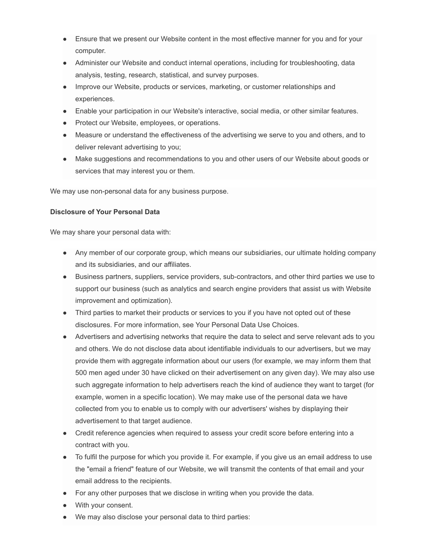- Ensure that we present our Website content in the most effective manner for you and for your computer.
- Administer our Website and conduct internal operations, including for troubleshooting, data analysis, testing, research, statistical, and survey purposes.
- Improve our Website, products or services, marketing, or customer relationships and experiences.
- Enable your participation in our Website's interactive, social media, or other similar features.
- Protect our Website, employees, or operations.
- Measure or understand the effectiveness of the advertising we serve to you and others, and to deliver relevant advertising to you;
- Make suggestions and recommendations to you and other users of our Website about goods or services that may interest you or them.

We may use non-personal data for any business purpose.

#### **Disclosure of Your Personal Data**

We may share your personal data with:

- Any member of our corporate group, which means our subsidiaries, our ultimate holding company and its subsidiaries, and our affiliates.
- Business partners, suppliers, service providers, sub-contractors, and other third parties we use to support our business (such as analytics and search engine providers that assist us with Website improvement and optimization).
- Third parties to market their products or services to you if you have not opted out of these disclosures. For more information, see Your Personal Data Use Choices.
- Advertisers and advertising networks that require the data to select and serve relevant ads to you and others. We do not disclose data about identifiable individuals to our advertisers, but we may provide them with aggregate information about our users (for example, we may inform them that 500 men aged under 30 have clicked on their advertisement on any given day). We may also use such aggregate information to help advertisers reach the kind of audience they want to target (for example, women in a specific location). We may make use of the personal data we have collected from you to enable us to comply with our advertisers' wishes by displaying their advertisement to that target audience.
- Credit reference agencies when required to assess your credit score before entering into a contract with you.
- To fulfil the purpose for which you provide it. For example, if you give us an email address to use the "email a friend" feature of our Website, we will transmit the contents of that email and your email address to the recipients.
- For any other purposes that we disclose in writing when you provide the data.
- With your consent.
- We may also disclose your personal data to third parties: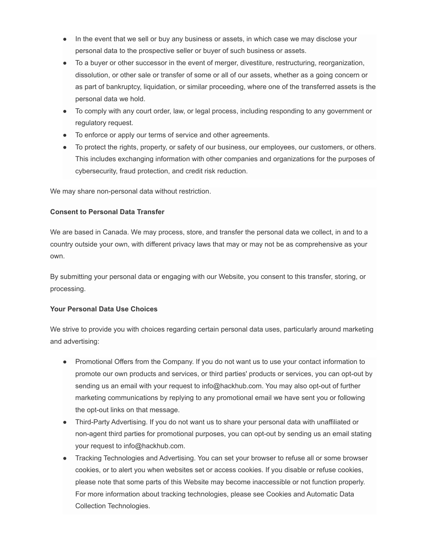- In the event that we sell or buy any business or assets, in which case we may disclose your personal data to the prospective seller or buyer of such business or assets.
- To a buyer or other successor in the event of merger, divestiture, restructuring, reorganization, dissolution, or other sale or transfer of some or all of our assets, whether as a going concern or as part of bankruptcy, liquidation, or similar proceeding, where one of the transferred assets is the personal data we hold.
- To comply with any court order, law, or legal process, including responding to any government or regulatory request.
- To enforce or apply our terms of service and other agreements.
- To protect the rights, property, or safety of our business, our employees, our customers, or others. This includes exchanging information with other companies and organizations for the purposes of cybersecurity, fraud protection, and credit risk reduction.

We may share non-personal data without restriction.

#### **Consent to Personal Data Transfer**

We are based in Canada. We may process, store, and transfer the personal data we collect, in and to a country outside your own, with different privacy laws that may or may not be as comprehensive as your own.

By submitting your personal data or engaging with our Website, you consent to this transfer, storing, or processing.

## **Your Personal Data Use Choices**

We strive to provide you with choices regarding certain personal data uses, particularly around marketing and advertising:

- Promotional Offers from the Company. If you do not want us to use your contact information to promote our own products and services, or third parties' products or services, you can opt-out by sending us an email with your request to info@hackhub.com. You may also opt-out of further marketing communications by replying to any promotional email we have sent you or following the opt-out links on that message.
- Third-Party Advertising. If you do not want us to share your personal data with unaffiliated or non-agent third parties for promotional purposes, you can opt-out by sending us an email stating your request to info@hackhub.com.
- Tracking Technologies and Advertising. You can set your browser to refuse all or some browser cookies, or to alert you when websites set or access cookies. If you disable or refuse cookies, please note that some parts of this Website may become inaccessible or not function properly. For more information about tracking technologies, please see Cookies and Automatic Data Collection Technologies.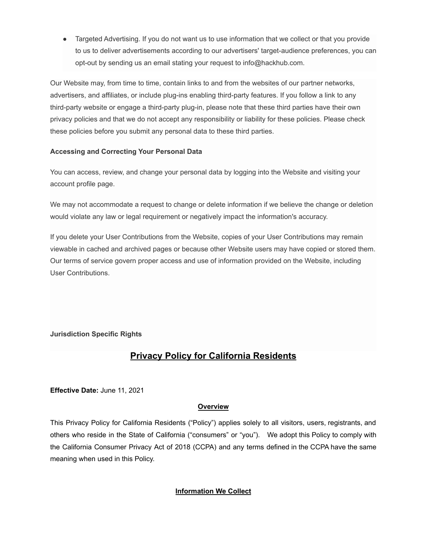• Targeted Advertising. If you do not want us to use information that we collect or that you provide to us to deliver advertisements according to our advertisers' target-audience preferences, you can opt-out by sending us an email stating your request to info@hackhub.com.

Our Website may, from time to time, contain links to and from the websites of our partner networks, advertisers, and affiliates, or include plug-ins enabling third-party features. If you follow a link to any third-party website or engage a third-party plug-in, please note that these third parties have their own privacy policies and that we do not accept any responsibility or liability for these policies. Please check these policies before you submit any personal data to these third parties.

#### **Accessing and Correcting Your Personal Data**

You can access, review, and change your personal data by logging into the Website and visiting your account profile page.

We may not accommodate a request to change or delete information if we believe the change or deletion would violate any law or legal requirement or negatively impact the information's accuracy.

If you delete your User Contributions from the Website, copies of your User Contributions may remain viewable in cached and archived pages or because other Website users may have copied or stored them. Our terms of service govern proper access and use of information provided on the Website, including User Contributions.

## **Jurisdiction Specific Rights**

# **Privacy Policy for California Residents**

**Effective Date:** June 11, 2021

#### **Overview**

This Privacy Policy for California Residents ("Policy") applies solely to all visitors, users, registrants, and others who reside in the State of California ("consumers" or "you"). We adopt this Policy to comply with the California Consumer Privacy Act of 2018 (CCPA) and any terms defined in the CCPA have the same meaning when used in this Policy.

## **Information We Collect**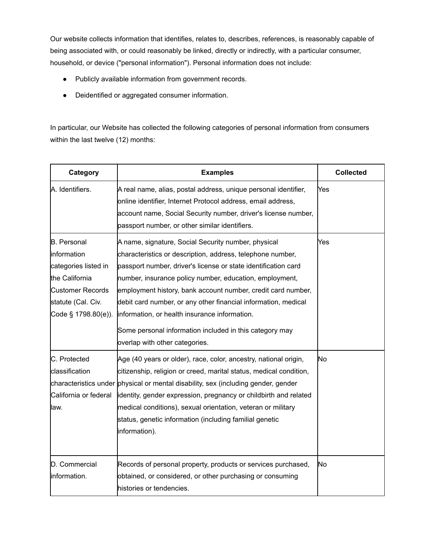Our website collects information that identifies, relates to, describes, references, is reasonably capable of being associated with, or could reasonably be linked, directly or indirectly, with a particular consumer, household, or device ("personal information"). Personal information does not include:

- Publicly available information from government records.
- Deidentified or aggregated consumer information.

In particular, our Website has collected the following categories of personal information from consumers within the last twelve (12) months:

| Category                                                                                                                                              | <b>Examples</b>                                                                                                                                                                                                                                                                                                                                                                                                                                                                                                                | <b>Collected</b> |
|-------------------------------------------------------------------------------------------------------------------------------------------------------|--------------------------------------------------------------------------------------------------------------------------------------------------------------------------------------------------------------------------------------------------------------------------------------------------------------------------------------------------------------------------------------------------------------------------------------------------------------------------------------------------------------------------------|------------------|
| A. Identifiers.                                                                                                                                       | A real name, alias, postal address, unique personal identifier,<br>online identifier, Internet Protocol address, email address,<br>account name, Social Security number, driver's license number,<br>passport number, or other similar identifiers.                                                                                                                                                                                                                                                                            | Yes              |
| <b>B.</b> Personal<br>information<br>categories listed in<br>the California<br><b>Customer Records</b><br>statute (Cal. Civ.<br>Code $§$ 1798.80(e)). | A name, signature, Social Security number, physical<br>characteristics or description, address, telephone number,<br>passport number, driver's license or state identification card<br>number, insurance policy number, education, employment,<br>employment history, bank account number, credit card number,<br>debit card number, or any other financial information, medical<br>information, or health insurance information.<br>Some personal information included in this category may<br>overlap with other categories. | Yes              |
| C. Protected<br>classification<br>California or federal<br>law.                                                                                       | Age (40 years or older), race, color, ancestry, national origin,<br>citizenship, religion or creed, marital status, medical condition,<br>characteristics under physical or mental disability, sex (including gender, gender<br>identity, gender expression, pregnancy or childbirth and related<br>medical conditions), sexual orientation, veteran or military<br>status, genetic information (including familial genetic<br>information).                                                                                   | lNo              |
| D. Commercial<br>information.                                                                                                                         | Records of personal property, products or services purchased,<br>obtained, or considered, or other purchasing or consuming<br>histories or tendencies.                                                                                                                                                                                                                                                                                                                                                                         | No               |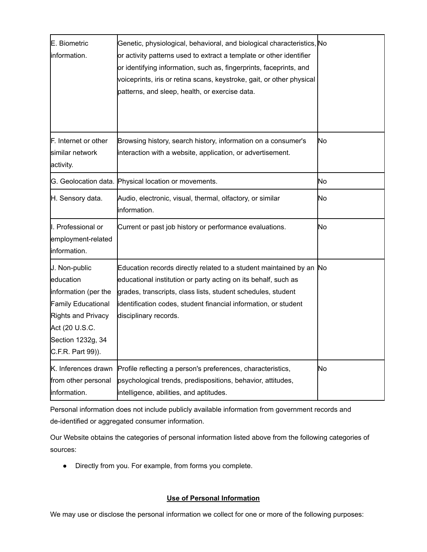| E. Biometric<br>information.                                                                                                                                             | Genetic, physiological, behavioral, and biological characteristics, No<br>or activity patterns used to extract a template or other identifier<br>or identifying information, such as, fingerprints, faceprints, and<br>voiceprints, iris or retina scans, keystroke, gait, or other physical<br>patterns, and sleep, health, or exercise data. |     |
|--------------------------------------------------------------------------------------------------------------------------------------------------------------------------|------------------------------------------------------------------------------------------------------------------------------------------------------------------------------------------------------------------------------------------------------------------------------------------------------------------------------------------------|-----|
| F. Internet or other<br>similar network<br>activity.                                                                                                                     | Browsing history, search history, information on a consumer's<br>interaction with a website, application, or advertisement.                                                                                                                                                                                                                    | No  |
|                                                                                                                                                                          | G. Geolocation data. Physical location or movements.                                                                                                                                                                                                                                                                                           | No. |
| H. Sensory data.                                                                                                                                                         | Audio, electronic, visual, thermal, olfactory, or similar<br>information.                                                                                                                                                                                                                                                                      | No. |
| I. Professional or<br>employment-related<br>information.                                                                                                                 | Current or past job history or performance evaluations.                                                                                                                                                                                                                                                                                        | No. |
| J. Non-public<br>education<br>information (per the<br><b>Family Educational</b><br><b>Rights and Privacy</b><br>Act (20 U.S.C.<br>Section 1232g, 34<br>C.F.R. Part 99)). | Education records directly related to a student maintained by an No<br>educational institution or party acting on its behalf, such as<br>grades, transcripts, class lists, student schedules, student<br>identification codes, student financial information, or student<br>disciplinary records.                                              |     |
| K. Inferences drawn<br>from other personal<br>information.                                                                                                               | Profile reflecting a person's preferences, characteristics,<br>psychological trends, predispositions, behavior, attitudes,<br>intelligence, abilities, and aptitudes.                                                                                                                                                                          | No. |

Personal information does not include publicly available information from government records and de-identified or aggregated consumer information.

Our Website obtains the categories of personal information listed above from the following categories of sources:

● Directly from you. For example, from forms you complete.

## **Use of Personal Information**

We may use or disclose the personal information we collect for one or more of the following purposes: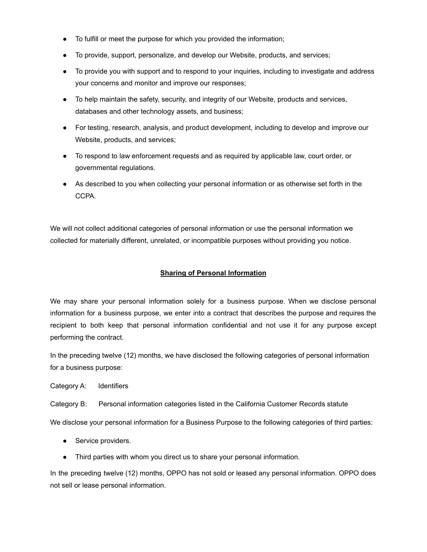- To fulfill or meet the purpose for which you provided the information;
- To provide, support, personalize, and develop our Website, products, and services;
- To provide you with support and to respond to your inquiries, including to investigate and address your concerns and monitor and improve our responses;
- To help maintain the safety, security, and integrity of our Website, products and services, databases and other technology assets, and business;
- For testing, research, analysis, and product development, including to develop and improve our Website, products, and services;
- To respond to law enforcement requests and as required by applicable law, court order, or governmental regulations.
- As described to you when collecting your personal information or as otherwise set forth in the CCPA.

We will not collect additional categories of personal information or use the personal information we collected for materially different, unrelated, or incompatible purposes without providing you notice.

#### **Sharing of Personal Information**

We may share your personal information solely for a business purpose. When we disclose personal information for a business purpose, we enter into a contract that describes the purpose and requires the recipient to both keep that personal information confidential and not use it for any purpose except performing the contract.

In the preceding twelve (12) months, we have disclosed the following categories of personal information for a business purpose:

Category A: Identifiers

Category B: Personal information categories listed in the California Customer Records statute

We disclose your personal information for a Business Purpose to the following categories of third parties:

- Service providers.
- Third parties with whom you direct us to share your personal information.

In the preceding twelve (12) months, OPPO has not sold or leased any personal information. OPPO does not sell or lease personal information.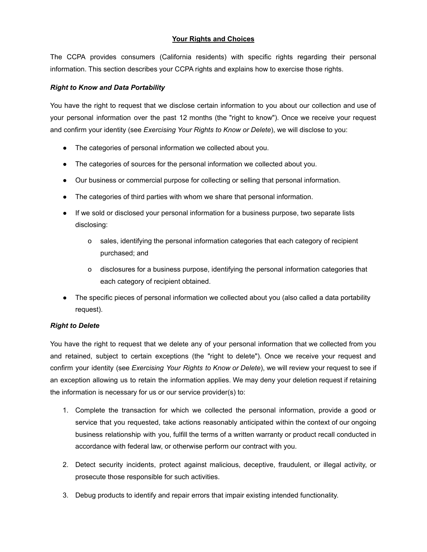#### **Your Rights and Choices**

The CCPA provides consumers (California residents) with specific rights regarding their personal information. This section describes your CCPA rights and explains how to exercise those rights.

#### *Right to Know and Data Portability*

You have the right to request that we disclose certain information to you about our collection and use of your personal information over the past 12 months (the "right to know"). Once we receive your request and confirm your identity (see *[Exercising](https://practicallawconnect.thomsonreuters.com/Document/Iee78ce09f4ae11e8a5b3e3d9e23d7429/View/FullText.html?originationContext=typeAhead&transitionType=Default&contextData=(sc.Default)&navId=F58CD2808CACDF42DF4DB5E61B031841&view=hidealldraftingnotes#co_anchor_a585939) Your Rights to Know or Delete*), we will disclose to you:

- The categories of personal information we collected about you.
- The categories of sources for the personal information we collected about you.
- Our business or commercial purpose for collecting or selling that personal information.
- The categories of third parties with whom we share that personal information.
- If we sold or disclosed your personal information for a business purpose, two separate lists disclosing:
	- o sales, identifying the personal information categories that each category of recipient purchased; and
	- o disclosures for a business purpose, identifying the personal information categories that each category of recipient obtained.
- The specific pieces of personal information we collected about you (also called a data portability request).

## *Right to Delete*

You have the right to request that we delete any of your personal information that we collected from you and retained, subject to certain exceptions (the "right to delete"). Once we receive your request and confirm your identity (see *[Exercising](https://practicallawconnect.thomsonreuters.com/Document/Iee78ce09f4ae11e8a5b3e3d9e23d7429/View/FullText.html?originationContext=typeAhead&transitionType=Default&contextData=(sc.Default)&navId=F58CD2808CACDF42DF4DB5E61B031841&view=hidealldraftingnotes#co_anchor_a585939) Your Rights to Know or Delete*), we will review your request to see if an exception allowing us to retain the information applies. We may deny your deletion request if retaining the information is necessary for us or our service provider(s) to:

- 1. Complete the transaction for which we collected the personal information, provide a good or service that you requested, take actions reasonably anticipated within the context of our ongoing business relationship with you, fulfill the terms of a written warranty or product recall conducted in accordance with federal law, or otherwise perform our contract with you.
- 2. Detect security incidents, protect against malicious, deceptive, fraudulent, or illegal activity, or prosecute those responsible for such activities.
- 3. Debug products to identify and repair errors that impair existing intended functionality.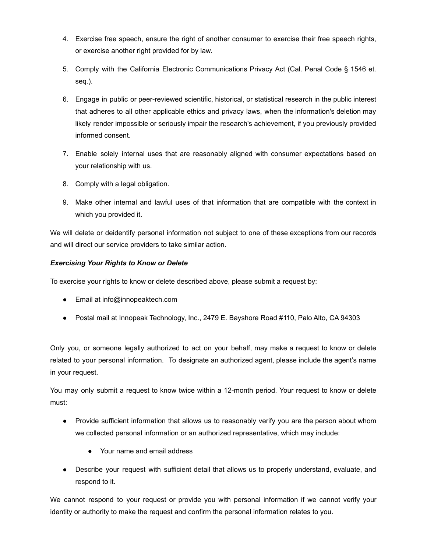- 4. Exercise free speech, ensure the right of another consumer to exercise their free speech rights, or exercise another right provided for by law.
- 5. Comply with the California Electronic Communications Privacy Act (Cal. Penal Code § 1546 et. seq.).
- 6. Engage in public or peer-reviewed scientific, historical, or statistical research in the public interest that adheres to all other applicable ethics and privacy laws, when the information's deletion may likely render impossible or seriously impair the research's achievement, if you previously provided informed consent.
- 7. Enable solely internal uses that are reasonably aligned with consumer expectations based on your relationship with us.
- 8. Comply with a legal obligation.
- 9. Make other internal and lawful uses of that information that are compatible with the context in which you provided it.

We will delete or deidentify personal information not subject to one of these exceptions from our records and will direct our service providers to take similar action.

## *Exercising Your Rights to Know or Delete*

To exercise your rights to know or delete described above, please submit a request by:

- Email at [info@innopeaktech.com](mailto:info@innopeaktech.com)
- Postal mail at Innopeak Technology, Inc., 2479 E. Bayshore Road #110, Palo Alto, CA 94303

Only you, or someone legally authorized to act on your behalf, may make a request to know or delete related to your personal information. To designate an authorized agent, please include the agent's name in your request.

You may only submit a request to know twice within a 12-month period. Your request to know or delete must:

- Provide sufficient information that allows us to reasonably verify you are the person about whom we collected personal information or an authorized representative, which may include:
	- Your name and email address
- Describe your request with sufficient detail that allows us to properly understand, evaluate, and respond to it.

We cannot respond to your request or provide you with personal information if we cannot verify your identity or authority to make the request and confirm the personal information relates to you.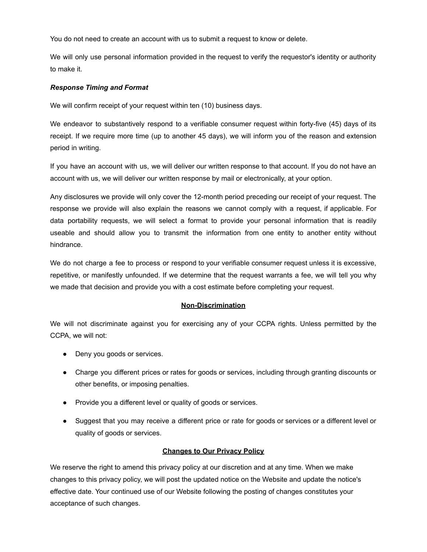You do not need to create an account with us to submit a request to know or delete.

We will only use personal information provided in the request to verify the requestor's identity or authority to make it.

#### *Response Timing and Format*

We will confirm receipt of your request within ten (10) business days.

We endeavor to substantively respond to a verifiable consumer request within forty-five (45) days of its receipt. If we require more time (up to another 45 days), we will inform you of the reason and extension period in writing.

If you have an account with us, we will deliver our written response to that account. If you do not have an account with us, we will deliver our written response by mail or electronically, at your option.

Any disclosures we provide will only cover the 12-month period preceding our receipt of your request. The response we provide will also explain the reasons we cannot comply with a request, if applicable. For data portability requests, we will select a format to provide your personal information that is readily useable and should allow you to transmit the information from one entity to another entity without hindrance.

We do not charge a fee to process or respond to your verifiable consumer request unless it is excessive, repetitive, or manifestly unfounded. If we determine that the request warrants a fee, we will tell you why we made that decision and provide you with a cost estimate before completing your request.

#### **Non-Discrimination**

We will not discriminate against you for exercising any of your CCPA rights. Unless permitted by the CCPA, we will not:

- Deny you goods or services.
- Charge you different prices or rates for goods or services, including through granting discounts or other benefits, or imposing penalties.
- Provide you a different level or quality of goods or services.
- Suggest that you may receive a different price or rate for goods or services or a different level or quality of goods or services.

#### **Changes to Our Privacy Policy**

We reserve the right to amend this privacy policy at our discretion and at any time. When we make changes to this privacy policy, we will post the updated notice on the Website and update the notice's effective date. Your continued use of our Website following the posting of changes constitutes your acceptance of such changes.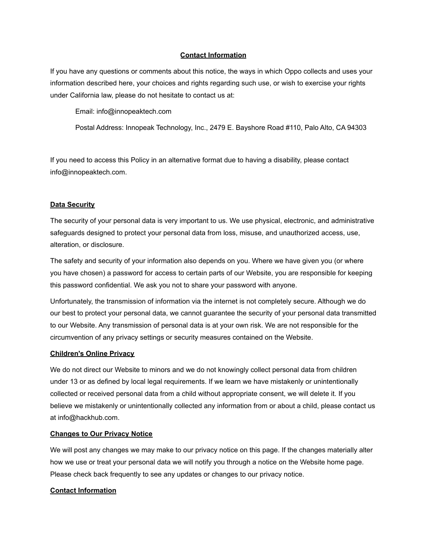#### **Contact Information**

If you have any questions or comments about this notice, the ways in which Oppo collects and uses your information described here, your choices and rights regarding such use, or wish to exercise your rights under California law, please do not hesitate to contact us at:

Email: info@innopeaktech.com

Postal Address: Innopeak Technology, Inc., 2479 E. Bayshore Road #110, Palo Alto, CA 94303

If you need to access this Policy in an alternative format due to having a disability, please contact [info@innopeaktech.com](mailto:info@innopeaktech.com).

#### **Data Security**

The security of your personal data is very important to us. We use physical, electronic, and administrative safeguards designed to protect your personal data from loss, misuse, and unauthorized access, use, alteration, or disclosure.

The safety and security of your information also depends on you. Where we have given you (or where you have chosen) a password for access to certain parts of our Website, you are responsible for keeping this password confidential. We ask you not to share your password with anyone.

Unfortunately, the transmission of information via the internet is not completely secure. Although we do our best to protect your personal data, we cannot guarantee the security of your personal data transmitted to our Website. Any transmission of personal data is at your own risk. We are not responsible for the circumvention of any privacy settings or security measures contained on the Website.

#### **Children's Online Privacy**

We do not direct our Website to minors and we do not knowingly collect personal data from children under 13 or as defined by local legal requirements. If we learn we have mistakenly or unintentionally collected or received personal data from a child without appropriate consent, we will delete it. If you believe we mistakenly or unintentionally collected any information from or about a child, please contact us at info@hackhub.com.

#### **Changes to Our Privacy Notice**

We will post any changes we may make to our privacy notice on this page. If the changes materially alter how we use or treat your personal data we will notify you through a notice on the Website home page. Please check back frequently to see any updates or changes to our privacy notice.

#### **Contact Information**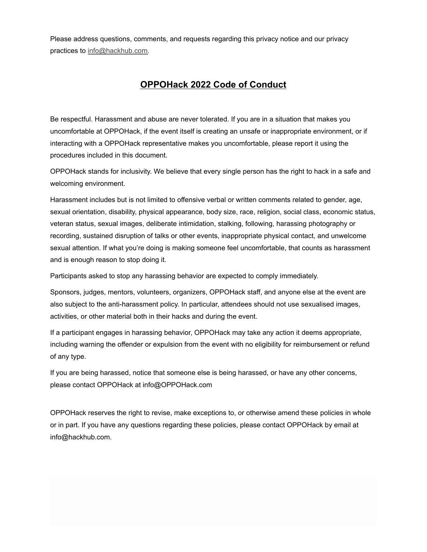Please address questions, comments, and requests regarding this privacy notice and our privacy practices to [info@hackhub.com.](mailto:info@hackhub.com)

## **OPPOHack 2022 Code of Conduct**

Be respectful. Harassment and abuse are never tolerated. If you are in a situation that makes you uncomfortable at OPPOHack, if the event itself is creating an unsafe or inappropriate environment, or if interacting with a OPPOHack representative makes you uncomfortable, please report it using the procedures included in this document.

OPPOHack stands for inclusivity. We believe that every single person has the right to hack in a safe and welcoming environment.

Harassment includes but is not limited to offensive verbal or written comments related to gender, age, sexual orientation, disability, physical appearance, body size, race, religion, social class, economic status, veteran status, sexual images, deliberate intimidation, stalking, following, harassing photography or recording, sustained disruption of talks or other events, inappropriate physical contact, and unwelcome sexual attention. If what you're doing is making someone feel uncomfortable, that counts as harassment and is enough reason to stop doing it.

Participants asked to stop any harassing behavior are expected to comply immediately.

Sponsors, judges, mentors, volunteers, organizers, OPPOHack staff, and anyone else at the event are also subject to the anti-harassment policy. In particular, attendees should not use sexualised images, activities, or other material both in their hacks and during the event.

If a participant engages in harassing behavior, OPPOHack may take any action it deems appropriate, including warning the offender or expulsion from the event with no eligibility for reimbursement or refund of any type.

If you are being harassed, notice that someone else is being harassed, or have any other concerns, please contact OPPOHack at info@OPPOHack.com

OPPOHack reserves the right to revise, make exceptions to, or otherwise amend these policies in whole or in part. If you have any questions regarding these policies, please contact OPPOHack by email at info@hackhub.com.